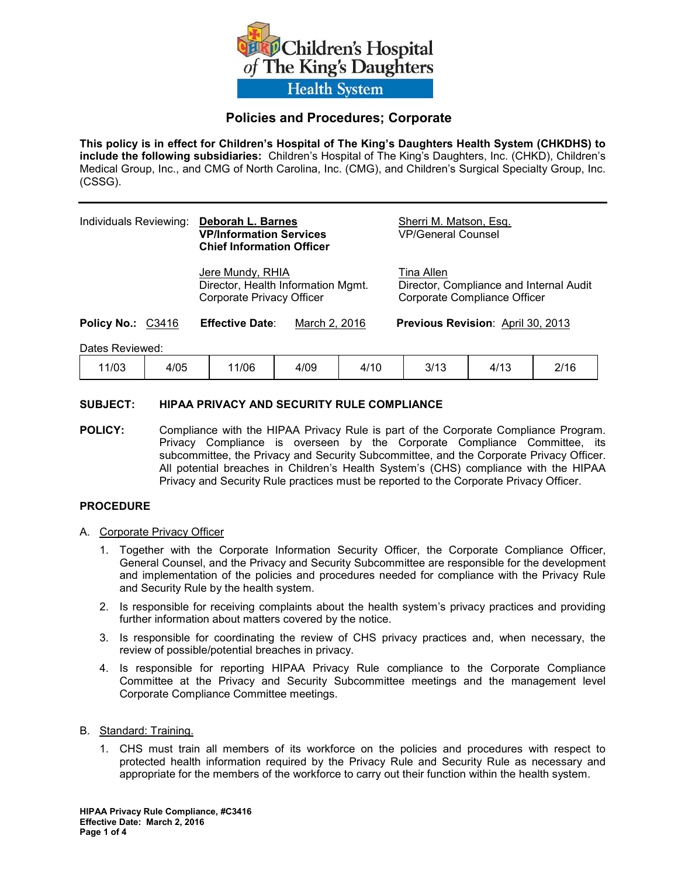

# **Policies and Procedures; Corporate**

**This policy is in effect for Children's Hospital of The King's Daughters Health System (CHKDHS) to include the following subsidiaries:** Children's Hospital of The King's Daughters, Inc. (CHKD), Children's Medical Group, Inc., and CMG of North Carolina, Inc. (CMG), and Children's Surgical Specialty Group, Inc. (CSSG).

| Individuals Reviewing: | Deborah L. Barnes<br><b>VP/Information Services</b><br><b>Chief Information Officer</b> | Sherri M. Matson, Esq.<br><b>VP/General Counsel</b>                                   |
|------------------------|-----------------------------------------------------------------------------------------|---------------------------------------------------------------------------------------|
|                        | Jere Mundy, RHIA<br>Director, Health Information Mgmt.<br>Corporate Privacy Officer     | Tina Allen<br>Director, Compliance and Internal Audit<br>Corporate Compliance Officer |
| Policy No.: C3416      | <b>Effective Date:</b><br>March 2, 2016                                                 | <b>Previous Revision: April 30, 2013</b>                                              |
| Dates Reviewed:        |                                                                                         |                                                                                       |

11/03 4/05 11/06 4/09 4/10 3/13 4/13 2/16

# **SUBJECT: HIPAA PRIVACY AND SECURITY RULE COMPLIANCE**

**POLICY:** Compliance with the HIPAA Privacy Rule is part of the Corporate Compliance Program. Privacy Compliance is overseen by the Corporate Compliance Committee, its subcommittee, the Privacy and Security Subcommittee, and the Corporate Privacy Officer. All potential breaches in Children's Health System's (CHS) compliance with the HIPAA Privacy and Security Rule practices must be reported to the Corporate Privacy Officer.

## **PROCEDURE**

### A. Corporate Privacy Officer

- 1. Together with the Corporate Information Security Officer, the Corporate Compliance Officer, General Counsel, and the Privacy and Security Subcommittee are responsible for the development and implementation of the policies and procedures needed for compliance with the Privacy Rule and Security Rule by the health system.
- 2. Is responsible for receiving complaints about the health system's privacy practices and providing further information about matters covered by the notice.
- 3. Is responsible for coordinating the review of CHS privacy practices and, when necessary, the review of possible/potential breaches in privacy.
- 4. Is responsible for reporting HIPAA Privacy Rule compliance to the Corporate Compliance Committee at the Privacy and Security Subcommittee meetings and the management level Corporate Compliance Committee meetings.

### B. Standard: Training.

1. CHS must train all members of its workforce on the policies and procedures with respect to protected health information required by the Privacy Rule and Security Rule as necessary and appropriate for the members of the workforce to carry out their function within the health system.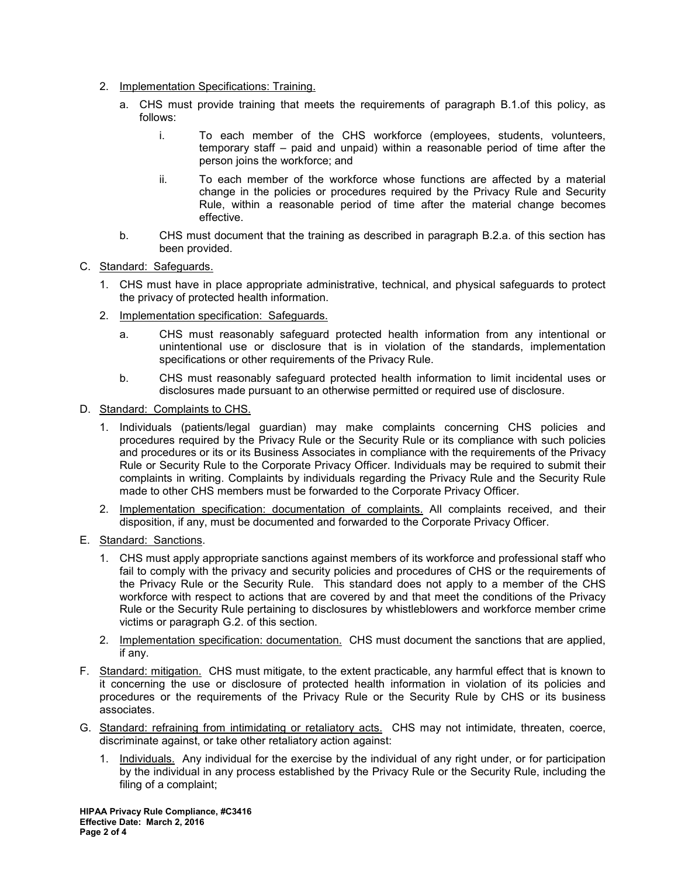- 2. Implementation Specifications: Training.
	- a. CHS must provide training that meets the requirements of paragraph B.1.of this policy, as follows:
		- i. To each member of the CHS workforce (employees, students, volunteers, temporary staff – paid and unpaid) within a reasonable period of time after the person joins the workforce; and
		- ii. To each member of the workforce whose functions are affected by a material change in the policies or procedures required by the Privacy Rule and Security Rule, within a reasonable period of time after the material change becomes effective.
	- b. CHS must document that the training as described in paragraph B.2.a. of this section has been provided.
- C. Standard: Safeguards.
	- 1. CHS must have in place appropriate administrative, technical, and physical safeguards to protect the privacy of protected health information.
	- 2. Implementation specification: Safeguards.
		- a. CHS must reasonably safeguard protected health information from any intentional or unintentional use or disclosure that is in violation of the standards, implementation specifications or other requirements of the Privacy Rule.
		- b. CHS must reasonably safeguard protected health information to limit incidental uses or disclosures made pursuant to an otherwise permitted or required use of disclosure.
- D. Standard: Complaints to CHS.
	- 1. Individuals (patients/legal guardian) may make complaints concerning CHS policies and procedures required by the Privacy Rule or the Security Rule or its compliance with such policies and procedures or its or its Business Associates in compliance with the requirements of the Privacy Rule or Security Rule to the Corporate Privacy Officer. Individuals may be required to submit their complaints in writing. Complaints by individuals regarding the Privacy Rule and the Security Rule made to other CHS members must be forwarded to the Corporate Privacy Officer.
	- 2. Implementation specification: documentation of complaints. All complaints received, and their disposition, if any, must be documented and forwarded to the Corporate Privacy Officer.
- E. Standard: Sanctions.
	- 1. CHS must apply appropriate sanctions against members of its workforce and professional staff who fail to comply with the privacy and security policies and procedures of CHS or the requirements of the Privacy Rule or the Security Rule. This standard does not apply to a member of the CHS workforce with respect to actions that are covered by and that meet the conditions of the Privacy Rule or the Security Rule pertaining to disclosures by whistleblowers and workforce member crime victims or paragraph G.2. of this section.
	- 2. Implementation specification: documentation. CHS must document the sanctions that are applied, if any.
- F. Standard: mitigation. CHS must mitigate, to the extent practicable, any harmful effect that is known to it concerning the use or disclosure of protected health information in violation of its policies and procedures or the requirements of the Privacy Rule or the Security Rule by CHS or its business associates.
- G. Standard: refraining from intimidating or retaliatory acts. CHS may not intimidate, threaten, coerce, discriminate against, or take other retaliatory action against:
	- 1. Individuals. Any individual for the exercise by the individual of any right under, or for participation by the individual in any process established by the Privacy Rule or the Security Rule, including the filing of a complaint;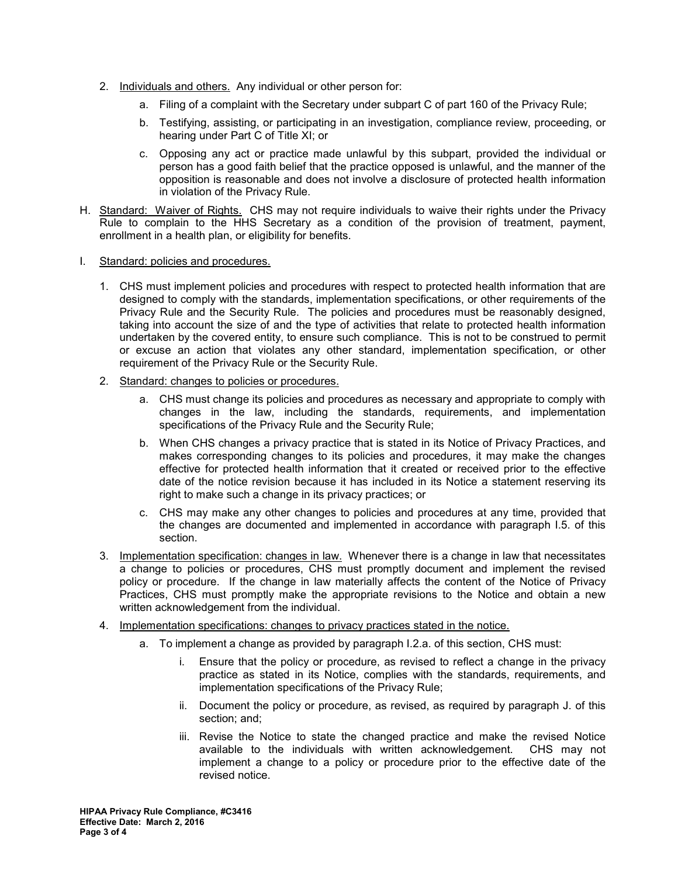- 2. Individuals and others. Any individual or other person for:
	- a. Filing of a complaint with the Secretary under subpart C of part 160 of the Privacy Rule;
	- b. Testifying, assisting, or participating in an investigation, compliance review, proceeding, or hearing under Part C of Title XI; or
	- c. Opposing any act or practice made unlawful by this subpart, provided the individual or person has a good faith belief that the practice opposed is unlawful, and the manner of the opposition is reasonable and does not involve a disclosure of protected health information in violation of the Privacy Rule.
- H. Standard: Waiver of Rights. CHS may not require individuals to waive their rights under the Privacy Rule to complain to the HHS Secretary as a condition of the provision of treatment, payment, enrollment in a health plan, or eligibility for benefits.
- I. Standard: policies and procedures.
	- 1. CHS must implement policies and procedures with respect to protected health information that are designed to comply with the standards, implementation specifications, or other requirements of the Privacy Rule and the Security Rule. The policies and procedures must be reasonably designed, taking into account the size of and the type of activities that relate to protected health information undertaken by the covered entity, to ensure such compliance. This is not to be construed to permit or excuse an action that violates any other standard, implementation specification, or other requirement of the Privacy Rule or the Security Rule.
	- 2. Standard: changes to policies or procedures.
		- a. CHS must change its policies and procedures as necessary and appropriate to comply with changes in the law, including the standards, requirements, and implementation specifications of the Privacy Rule and the Security Rule;
		- b. When CHS changes a privacy practice that is stated in its Notice of Privacy Practices, and makes corresponding changes to its policies and procedures, it may make the changes effective for protected health information that it created or received prior to the effective date of the notice revision because it has included in its Notice a statement reserving its right to make such a change in its privacy practices; or
		- c. CHS may make any other changes to policies and procedures at any time, provided that the changes are documented and implemented in accordance with paragraph I.5. of this section.
	- 3. Implementation specification: changes in law. Whenever there is a change in law that necessitates a change to policies or procedures, CHS must promptly document and implement the revised policy or procedure. If the change in law materially affects the content of the Notice of Privacy Practices, CHS must promptly make the appropriate revisions to the Notice and obtain a new written acknowledgement from the individual.
	- 4. Implementation specifications: changes to privacy practices stated in the notice.
		- a. To implement a change as provided by paragraph I.2.a. of this section, CHS must:
			- i. Ensure that the policy or procedure, as revised to reflect a change in the privacy practice as stated in its Notice, complies with the standards, requirements, and implementation specifications of the Privacy Rule;
			- ii. Document the policy or procedure, as revised, as required by paragraph J. of this section; and;
			- iii. Revise the Notice to state the changed practice and make the revised Notice available to the individuals with written acknowledgement. CHS may not implement a change to a policy or procedure prior to the effective date of the revised notice.